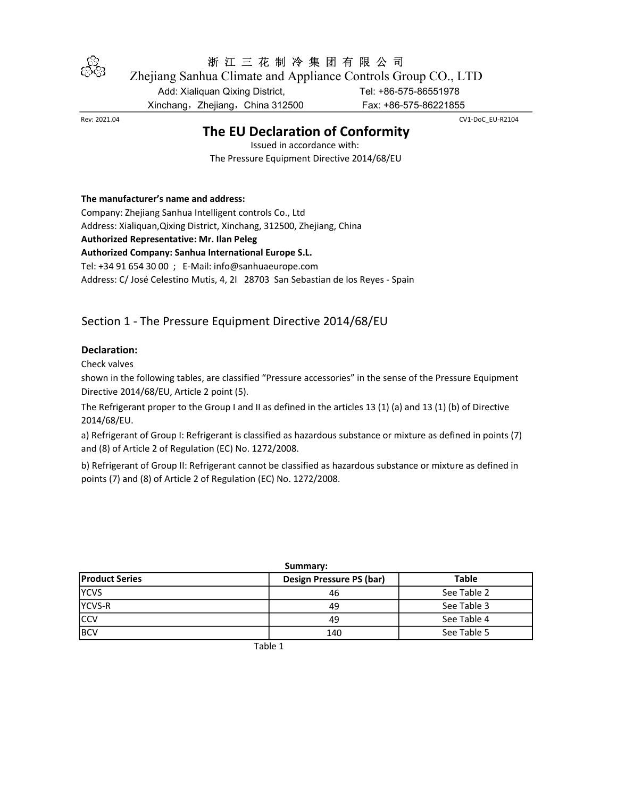

# 浙 江 三 花 制 冷 集 团 有 限 公 司

Zhejiang Sanhua Climate and Appliance Controls Group CO., LTD

Add: Xialiquan Qixing District, Tel: +86-575-86551978

Xinchang,Zhejiang,China 312500 Fax: +86-575-86221855

## The EU Declaration of Conformity

Rev: 2021.04 CV1-DoC\_EU-R2104

Issued in accordance with: The Pressure Equipment Directive 2014/68/EU

### The manufacturer's name and address:

Company: Zhejiang Sanhua Intelligent controls Co., Ltd Address: Xialiquan,Qixing District, Xinchang, 312500, Zhejiang, China Authorized Representative: Mr. Ilan Peleg Authorized Company: Sanhua International Europe S.L. Tel: +34 91 654 30 00 ; E-Mail: info@sanhuaeurope.com

Address: C/ José Celestino Mutis, 4, 2I 28703 San Sebastian de los Reyes - Spain

## Section 1 - The Pressure Equipment Directive 2014/68/EU

### Declaration:

Check valves

shown in the following tables, are classified "Pressure accessories" in the sense of the Pressure Equipment Directive 2014/68/EU, Article 2 point (5).

The Refrigerant proper to the Group I and II as defined in the articles 13 (1) (a) and 13 (1) (b) of Directive 2014/68/EU.

a) Refrigerant of Group I: Refrigerant is classified as hazardous substance or mixture as defined in points (7) and (8) of Article 2 of Regulation (EC) No. 1272/2008.

b) Refrigerant of Group II: Refrigerant cannot be classified as hazardous substance or mixture as defined in points (7) and (8) of Article 2 of Regulation (EC) No. 1272/2008.

| <b>Product Series</b> | Design Pressure PS (bar) | <b>Table</b> |
|-----------------------|--------------------------|--------------|
| <b>YCVS</b>           | 46                       | See Table 2  |
| YCVS-R                | 49                       | See Table 3  |
| <b>CCV</b>            | 49                       | See Table 4  |
| <b>BCV</b>            | 140                      | See Table 5  |

Summary:

Table 1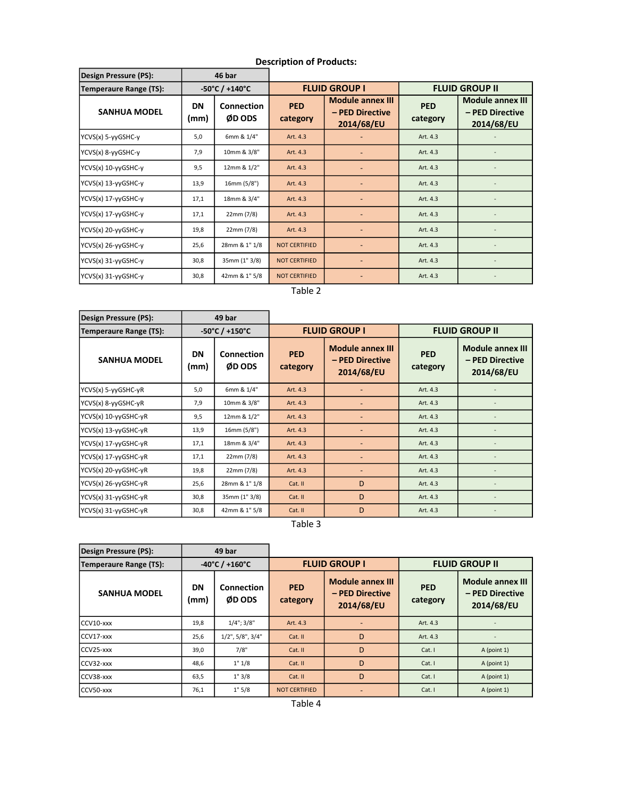| Design Pressure (PS):  | 46 bar            |                                     |                        |                                                          |                        |                                                          |
|------------------------|-------------------|-------------------------------------|------------------------|----------------------------------------------------------|------------------------|----------------------------------------------------------|
| Temperaure Range (TS): |                   | $-50^{\circ}$ C / +140 $^{\circ}$ C | <b>FLUID GROUP I</b>   |                                                          | <b>FLUID GROUP II</b>  |                                                          |
| <b>SANHUA MODEL</b>    | <b>DN</b><br>(mm) | Connection<br>ØD ODS                | <b>PED</b><br>category | <b>Module annex III</b><br>- PED Directive<br>2014/68/EU | <b>PED</b><br>category | <b>Module annex III</b><br>- PED Directive<br>2014/68/EU |
| YCVS(x) 5-yyGSHC-y     | 5,0               | 6mm & 1/4"                          | Art. 4.3               |                                                          | Art. 4.3               |                                                          |
| YCVS(x) 8-yyGSHC-y     | 7,9               | 10mm & 3/8"                         | Art. 4.3               |                                                          | Art. 4.3               |                                                          |
| YCVS(x) 10-yyGSHC-y    | 9,5               | 12mm & 1/2"                         | Art. 4.3               |                                                          | Art. 4.3               |                                                          |
| YCVS(x) 13-yyGSHC-y    | 13,9              | 16mm (5/8")                         | Art. 4.3               |                                                          | Art. 4.3               |                                                          |
| YCVS(x) 17-yyGSHC-y    | 17,1              | 18mm & 3/4"                         | Art. 4.3               |                                                          | Art. 4.3               |                                                          |
| YCVS(x) 17-yyGSHC-y    | 17,1              | 22mm (7/8)                          | Art. 4.3               |                                                          | Art. 4.3               |                                                          |
| YCVS(x) 20-yyGSHC-y    | 19,8              | 22mm (7/8)                          | Art. 4.3               |                                                          | Art. 4.3               |                                                          |
| YCVS(x) 26-yyGSHC-y    | 25,6              | 28mm & 1" 1/8                       | <b>NOT CERTIFIED</b>   |                                                          | Art. 4.3               |                                                          |
| YCVS(x) 31-yyGSHC-y    | 30,8              | 35mm (1" 3/8)                       | <b>NOT CERTIFIED</b>   |                                                          | Art. 4.3               |                                                          |
| YCVS(x) 31-yyGSHC-y    | 30,8              | 42mm & 1" 5/8                       | <b>NOT CERTIFIED</b>   |                                                          | Art. 4.3               |                                                          |

### Description of Products:

Table 2

| Design Pressure (PS):         |                                     | 49 bar                      |                        |                                                          |                        |                                                          |
|-------------------------------|-------------------------------------|-----------------------------|------------------------|----------------------------------------------------------|------------------------|----------------------------------------------------------|
| <b>Temperaure Range (TS):</b> | $-50^{\circ}$ C / +150 $^{\circ}$ C |                             | <b>FLUID GROUP I</b>   |                                                          | <b>FLUID GROUP II</b>  |                                                          |
| <b>SANHUA MODEL</b>           | DN<br>(mm)                          | <b>Connection</b><br>ØD ODS | <b>PED</b><br>category | <b>Module annex III</b><br>- PED Directive<br>2014/68/EU | <b>PED</b><br>category | <b>Module annex III</b><br>- PED Directive<br>2014/68/EU |
| YCVS(x) 5-yyGSHC-yR           | 5,0                                 | 6mm & 1/4"                  | Art. 4.3               |                                                          | Art. 4.3               |                                                          |
| YCVS(x) 8-yyGSHC-yR           | 7,9                                 | 10mm & 3/8"                 | Art. 4.3               |                                                          | Art. 4.3               |                                                          |
| YCVS(x) 10-yyGSHC-yR          | 9,5                                 | 12mm & 1/2"                 | Art. 4.3               |                                                          | Art. 4.3               |                                                          |
| YCVS(x) 13-yyGSHC-yR          | 13,9                                | 16mm (5/8")                 | Art. 4.3               |                                                          | Art. 4.3               |                                                          |
| YCVS(x) 17-yyGSHC-yR          | 17,1                                | 18mm & 3/4"                 | Art. 4.3               |                                                          | Art. 4.3               |                                                          |
| YCVS(x) 17-yyGSHC-yR          | 17,1                                | 22mm (7/8)                  | Art. 4.3               |                                                          | Art. 4.3               |                                                          |
| YCVS(x) 20-yyGSHC-yR          | 19,8                                | 22mm (7/8)                  | Art. 4.3               |                                                          | Art. 4.3               |                                                          |
| YCVS(x) 26-yyGSHC-yR          | 25,6                                | 28mm & 1" 1/8               | Cat. II                | D                                                        | Art. 4.3               |                                                          |
| YCVS(x) 31-yyGSHC-yR          | 30,8                                | 35mm (1" 3/8)               | Cat. II                | D                                                        | Art. 4.3               |                                                          |
| YCVS(x) 31-yyGSHC-yR          | 30,8                                | 42mm & 1" 5/8               | Cat. II                | D                                                        | Art. 4.3               |                                                          |

Table 3

٦

г

| Design Pressure (PS):                                         |                   | 49 bar                    |                        |                                                          |                        |                                                          |
|---------------------------------------------------------------|-------------------|---------------------------|------------------------|----------------------------------------------------------|------------------------|----------------------------------------------------------|
| $-40^{\circ}$ C / +160 $^{\circ}$ C<br>Temperaure Range (TS): |                   | <b>FLUID GROUP I</b>      |                        | <b>FLUID GROUP II</b>                                    |                        |                                                          |
| <b>SANHUA MODEL</b>                                           | <b>DN</b><br>(mm) | Connection<br>ØD ODS      | <b>PED</b><br>category | <b>Module annex III</b><br>- PED Directive<br>2014/68/EU | <b>PED</b><br>category | <b>Module annex III</b><br>- PED Directive<br>2014/68/EU |
| ICCV10-xxx                                                    | 19,8              | $1/4$ "; $3/8$ "          | Art. 4.3               |                                                          | Art. 4.3               |                                                          |
| ICCV17-xxx                                                    | 25,6              | $1/2$ ", $5/8$ ", $3/4$ " | Cat. II                | D                                                        | Art. 4.3               |                                                          |
| ICCV25-xxx                                                    | 39,0              | 7/8"                      | Cat. II                | D                                                        | Cat.1                  | A (point 1)                                              |
| ICCV32-xxx                                                    | 48,6              | 1" 1/8                    | Cat. II                | D                                                        | Cat. I                 | A (point 1)                                              |
| ICCV38-xxx                                                    | 63,5              | 1"3/8                     | Cat. II                | D                                                        | Cat. I                 | A (point 1)                                              |
| ICCV50-xxx                                                    | 76,1              | 1" 5/8                    | <b>NOT CERTIFIED</b>   |                                                          | Cat.1                  | A (point 1)                                              |